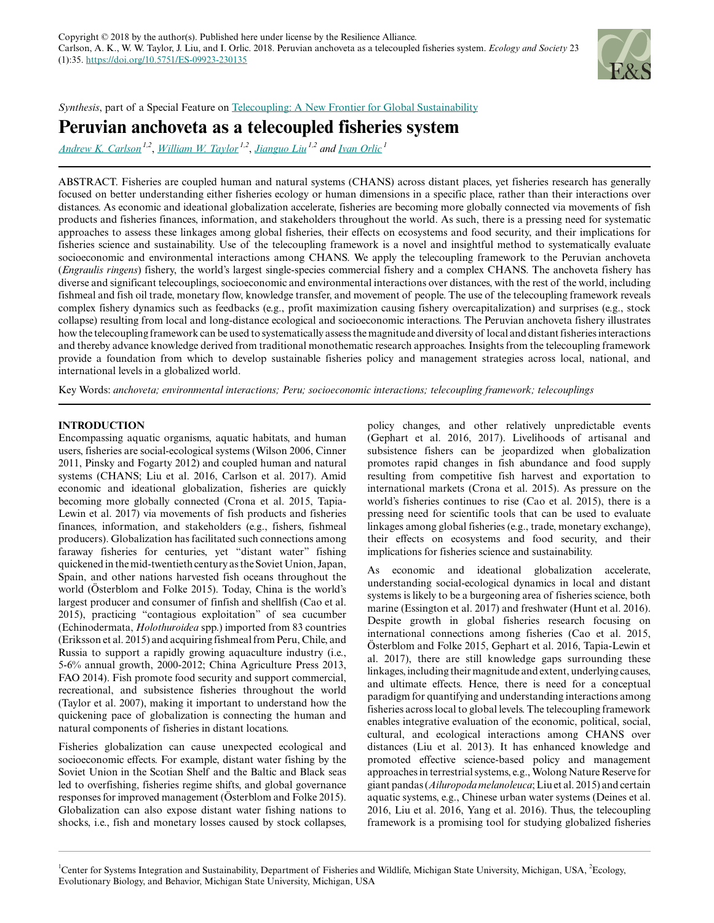

*Synthesis*, part of a Special Feature on [Telecoupling: A New Frontier for Global Sustainability](https://www.ecologyandsociety.org/viewissue.php?sf=125)

# **Peruvian anchoveta as a telecoupled fisheries system**

*[Andrew K. Carlson](mailto:carls422@msu.edu) 1,2* , *[William W. Taylor](mailto:taylorw@msu.edu) 1,2* , *[Jianguo Liu](mailto:liuji@msu.edu) 1,2 and [Ivan Orlic](mailto:ivan.orlic@gmail.com)<sup>1</sup>*

ABSTRACT. Fisheries are coupled human and natural systems (CHANS) across distant places, yet fisheries research has generally focused on better understanding either fisheries ecology or human dimensions in a specific place, rather than their interactions over distances. As economic and ideational globalization accelerate, fisheries are becoming more globally connected via movements of fish products and fisheries finances, information, and stakeholders throughout the world. As such, there is a pressing need for systematic approaches to assess these linkages among global fisheries, their effects on ecosystems and food security, and their implications for fisheries science and sustainability. Use of the telecoupling framework is a novel and insightful method to systematically evaluate socioeconomic and environmental interactions among CHANS. We apply the telecoupling framework to the Peruvian anchoveta (*Engraulis ringens*) fishery, the world's largest single-species commercial fishery and a complex CHANS. The anchoveta fishery has diverse and significant telecouplings, socioeconomic and environmental interactions over distances, with the rest of the world, including fishmeal and fish oil trade, monetary flow, knowledge transfer, and movement of people. The use of the telecoupling framework reveals complex fishery dynamics such as feedbacks (e.g., profit maximization causing fishery overcapitalization) and surprises (e.g., stock collapse) resulting from local and long-distance ecological and socioeconomic interactions. The Peruvian anchoveta fishery illustrates how the telecoupling framework can be used to systematically assess the magnitude and diversity of local and distant fisheries interactions and thereby advance knowledge derived from traditional monothematic research approaches. Insights from the telecoupling framework provide a foundation from which to develop sustainable fisheries policy and management strategies across local, national, and international levels in a globalized world.

Key Words: *anchoveta; environmental interactions; Peru; socioeconomic interactions; telecoupling framework; telecouplings*

## **INTRODUCTION**

Encompassing aquatic organisms, aquatic habitats, and human users, fisheries are social-ecological systems (Wilson 2006, Cinner 2011, Pinsky and Fogarty 2012) and coupled human and natural systems (CHANS; Liu et al. 2016, Carlson et al. 2017). Amid economic and ideational globalization, fisheries are quickly becoming more globally connected (Crona et al. 2015, Tapia-Lewin et al. 2017) via movements of fish products and fisheries finances, information, and stakeholders (e.g., fishers, fishmeal producers). Globalization has facilitated such connections among faraway fisheries for centuries, yet "distant water" fishing quickened in the mid-twentieth century as the Soviet Union, Japan, Spain, and other nations harvested fish oceans throughout the world (Österblom and Folke 2015). Today, China is the world's largest producer and consumer of finfish and shellfish (Cao et al. 2015), practicing "contagious exploitation" of sea cucumber (Echinodermata, *Holothuroidea* spp.) imported from 83 countries (Eriksson et al. 2015) and acquiring fishmeal from Peru, Chile, and Russia to support a rapidly growing aquaculture industry (i.e., 5-6% annual growth, 2000-2012; China Agriculture Press 2013, FAO 2014). Fish promote food security and support commercial, recreational, and subsistence fisheries throughout the world (Taylor et al. 2007), making it important to understand how the quickening pace of globalization is connecting the human and natural components of fisheries in distant locations.

Fisheries globalization can cause unexpected ecological and socioeconomic effects. For example, distant water fishing by the Soviet Union in the Scotian Shelf and the Baltic and Black seas led to overfishing, fisheries regime shifts, and global governance responses for improved management (Österblom and Folke 2015). Globalization can also expose distant water fishing nations to shocks, i.e., fish and monetary losses caused by stock collapses,

policy changes, and other relatively unpredictable events (Gephart et al. 2016, 2017). Livelihoods of artisanal and subsistence fishers can be jeopardized when globalization promotes rapid changes in fish abundance and food supply resulting from competitive fish harvest and exportation to international markets (Crona et al. 2015). As pressure on the world's fisheries continues to rise (Cao et al. 2015), there is a pressing need for scientific tools that can be used to evaluate linkages among global fisheries (e.g., trade, monetary exchange), their effects on ecosystems and food security, and their implications for fisheries science and sustainability.

As economic and ideational globalization accelerate, understanding social-ecological dynamics in local and distant systems is likely to be a burgeoning area of fisheries science, both marine (Essington et al. 2017) and freshwater (Hunt et al. 2016). Despite growth in global fisheries research focusing on international connections among fisheries (Cao et al. 2015, Österblom and Folke 2015, Gephart et al. 2016, Tapia-Lewin et al. 2017), there are still knowledge gaps surrounding these linkages, including their magnitude and extent, underlying causes, and ultimate effects. Hence, there is need for a conceptual paradigm for quantifying and understanding interactions among fisheries across local to global levels. The telecoupling framework enables integrative evaluation of the economic, political, social, cultural, and ecological interactions among CHANS over distances (Liu et al. 2013). It has enhanced knowledge and promoted effective science-based policy and management approaches in terrestrial systems, e.g., Wolong Nature Reserve for giant pandas (*Ailuropoda melanoleuca*; Liu et al. 2015) and certain aquatic systems, e.g., Chinese urban water systems (Deines et al. 2016, Liu et al. 2016, Yang et al. 2016). Thus, the telecoupling framework is a promising tool for studying globalized fisheries

<sup>1</sup>Center for Systems Integration and Sustainability, Department of Fisheries and Wildlife, Michigan State University, Michigan, USA, <sup>2</sup>Ecology, Evolutionary Biology, and Behavior, Michigan State University, Michigan, USA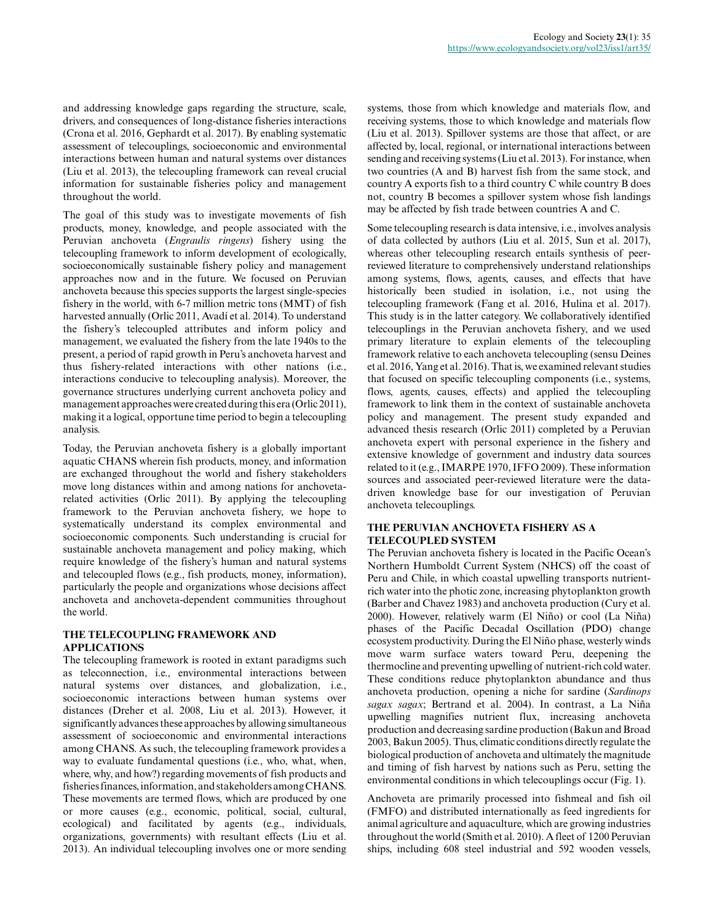and addressing knowledge gaps regarding the structure, scale, drivers, and consequences of long-distance fisheries interactions (Crona et al. 2016, Gephardt et al. 2017). By enabling systematic assessment of telecouplings, socioeconomic and environmental interactions between human and natural systems over distances (Liu et al. 2013), the telecoupling framework can reveal crucial information for sustainable fisheries policy and management throughout the world.

The goal of this study was to investigate movements of fish products, money, knowledge, and people associated with the Peruvian anchoveta (*Engraulis ringens*) fishery using the telecoupling framework to inform development of ecologically, socioeconomically sustainable fishery policy and management approaches now and in the future. We focused on Peruvian anchoveta because this species supports the largest single-species fishery in the world, with 6-7 million metric tons (MMT) of fish harvested annually (Orlic 2011, Avadí et al. 2014). To understand the fishery's telecoupled attributes and inform policy and management, we evaluated the fishery from the late 1940s to the present, a period of rapid growth in Peru's anchoveta harvest and thus fishery-related interactions with other nations (i.e., interactions conducive to telecoupling analysis). Moreover, the governance structures underlying current anchoveta policy and management approaches were created during this era (Orlic 2011), making it a logical, opportune time period to begin a telecoupling analysis.

Today, the Peruvian anchoveta fishery is a globally important aquatic CHANS wherein fish products, money, and information are exchanged throughout the world and fishery stakeholders move long distances within and among nations for anchovetarelated activities (Orlic 2011). By applying the telecoupling framework to the Peruvian anchoveta fishery, we hope to systematically understand its complex environmental and socioeconomic components. Such understanding is crucial for sustainable anchoveta management and policy making, which require knowledge of the fishery's human and natural systems and telecoupled flows (e.g., fish products, money, information), particularly the people and organizations whose decisions affect anchoveta and anchoveta-dependent communities throughout the world.

## **THE TELECOUPLING FRAMEWORK AND APPLICATIONS**

The telecoupling framework is rooted in extant paradigms such as teleconnection, i.e., environmental interactions between natural systems over distances, and globalization, i.e., socioeconomic interactions between human systems over distances (Dreher et al. 2008, Liu et al. 2013). However, it significantly advances these approaches by allowing simultaneous assessment of socioeconomic and environmental interactions among CHANS. As such, the telecoupling framework provides a way to evaluate fundamental questions (i.e., who, what, when, where, why, and how?) regarding movements of fish products and fisheries finances, information, and stakeholders among CHANS. These movements are termed flows, which are produced by one or more causes (e.g., economic, political, social, cultural, ecological) and facilitated by agents (e.g., individuals, organizations, governments) with resultant effects (Liu et al. 2013). An individual telecoupling involves one or more sending

systems, those from which knowledge and materials flow, and receiving systems, those to which knowledge and materials flow (Liu et al. 2013). Spillover systems are those that affect, or are affected by, local, regional, or international interactions between sending and receiving systems (Liu et al. 2013). For instance, when two countries (A and B) harvest fish from the same stock, and country A exports fish to a third country C while country B does not, country B becomes a spillover system whose fish landings may be affected by fish trade between countries A and C.

Some telecoupling research is data intensive, i.e., involves analysis of data collected by authors (Liu et al. 2015, Sun et al. 2017), whereas other telecoupling research entails synthesis of peerreviewed literature to comprehensively understand relationships among systems, flows, agents, causes, and effects that have historically been studied in isolation, i.e., not using the telecoupling framework (Fang et al. 2016, Hulina et al. 2017). This study is in the latter category. We collaboratively identified telecouplings in the Peruvian anchoveta fishery, and we used primary literature to explain elements of the telecoupling framework relative to each anchoveta telecoupling (sensu Deines et al. 2016, Yang et al. 2016). That is, we examined relevant studies that focused on specific telecoupling components (i.e., systems, flows, agents, causes, effects) and applied the telecoupling framework to link them in the context of sustainable anchoveta policy and management. The present study expanded and advanced thesis research (Orlic 2011) completed by a Peruvian anchoveta expert with personal experience in the fishery and extensive knowledge of government and industry data sources related to it (e.g., IMARPE 1970, IFFO 2009). These information sources and associated peer-reviewed literature were the datadriven knowledge base for our investigation of Peruvian anchoveta telecouplings.

# **THE PERUVIAN ANCHOVETA FISHERY AS A TELECOUPLED SYSTEM**

The Peruvian anchoveta fishery is located in the Pacific Ocean's Northern Humboldt Current System (NHCS) off the coast of Peru and Chile, in which coastal upwelling transports nutrientrich water into the photic zone, increasing phytoplankton growth (Barber and Chavez 1983) and anchoveta production (Cury et al. 2000). However, relatively warm (El Niño) or cool (La Niña) phases of the Pacific Decadal Oscillation (PDO) change ecosystem productivity. During the El Niño phase, westerly winds move warm surface waters toward Peru, deepening the thermocline and preventing upwelling of nutrient-rich cold water. These conditions reduce phytoplankton abundance and thus anchoveta production, opening a niche for sardine (*Sardinops sagax sagax*; Bertrand et al. 2004). In contrast, a La Niña upwelling magnifies nutrient flux, increasing anchoveta production and decreasing sardine production (Bakun and Broad 2003, Bakun 2005). Thus, climatic conditions directly regulate the biological production of anchoveta and ultimately the magnitude and timing of fish harvest by nations such as Peru, setting the environmental conditions in which telecouplings occur (Fig. 1).

Anchoveta are primarily processed into fishmeal and fish oil (FMFO) and distributed internationally as feed ingredients for animal agriculture and aquaculture, which are growing industries throughout the world (Smith et al. 2010). A fleet of 1200 Peruvian ships, including 608 steel industrial and 592 wooden vessels,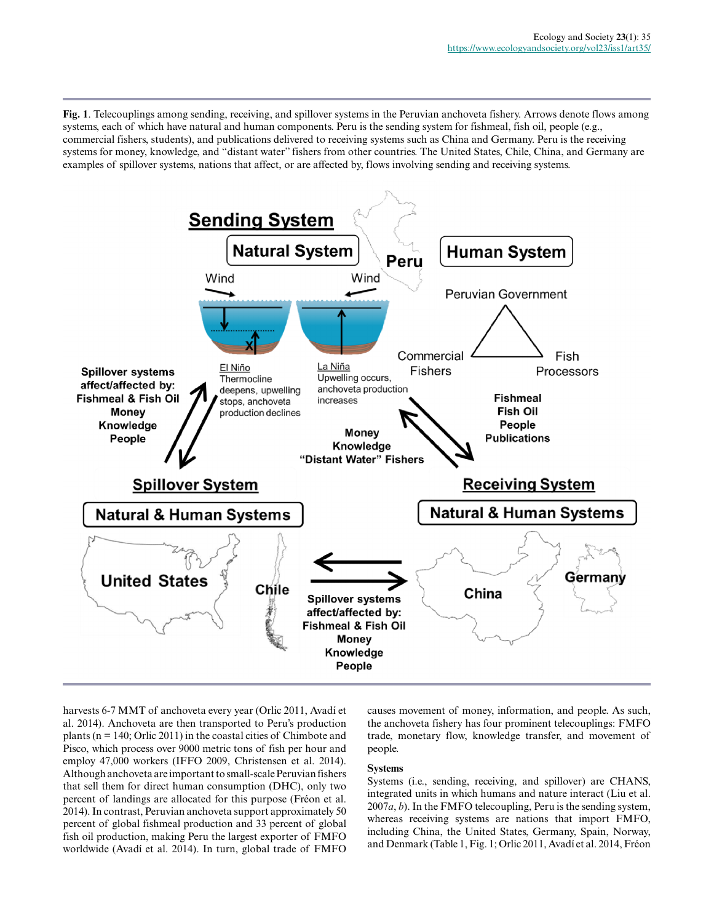**Fig. 1**. Telecouplings among sending, receiving, and spillover systems in the Peruvian anchoveta fishery. Arrows denote flows among systems, each of which have natural and human components. Peru is the sending system for fishmeal, fish oil, people (e.g., commercial fishers, students), and publications delivered to receiving systems such as China and Germany. Peru is the receiving systems for money, knowledge, and "distant water" fishers from other countries. The United States, Chile, China, and Germany are examples of spillover systems, nations that affect, or are affected by, flows involving sending and receiving systems.



harvests 6-7 MMT of anchoveta every year (Orlic 2011, Avadí et al. 2014). Anchoveta are then transported to Peru's production plants ( $n = 140$ ; Orlic 2011) in the coastal cities of Chimbote and Pisco, which process over 9000 metric tons of fish per hour and employ 47,000 workers (IFFO 2009, Christensen et al. 2014). Although anchoveta are important to small-scale Peruvian fishers that sell them for direct human consumption (DHC), only two percent of landings are allocated for this purpose (Fréon et al. 2014). In contrast, Peruvian anchoveta support approximately 50 percent of global fishmeal production and 33 percent of global fish oil production, making Peru the largest exporter of FMFO worldwide (Avadí et al. 2014). In turn, global trade of FMFO

causes movement of money, information, and people. As such, the anchoveta fishery has four prominent telecouplings: FMFO trade, monetary flow, knowledge transfer, and movement of people.

## **Systems**

Systems (i.e., sending, receiving, and spillover) are CHANS, integrated units in which humans and nature interact (Liu et al. 2007*a*, *b*). In the FMFO telecoupling, Peru is the sending system, whereas receiving systems are nations that import FMFO, including China, the United States, Germany, Spain, Norway, and Denmark (Table 1, Fig. 1; Orlic 2011, Avadí et al. 2014, Fréon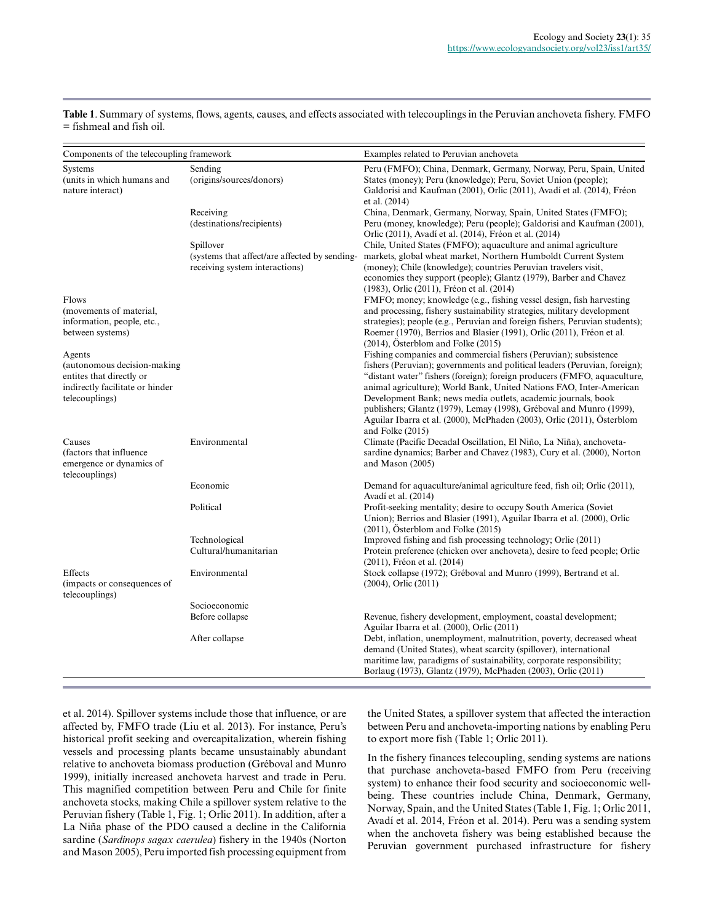**Table 1**. Summary of systems, flows, agents, causes, and effects associated with telecouplings in the Peruvian anchoveta fishery. FMFO = fishmeal and fish oil.

| Components of the telecoupling framework                                                                               |                                                                                              | Examples related to Peruvian anchoveta                                                                                                                                                                                                                                                                                                                                                                                                                                                                                                  |
|------------------------------------------------------------------------------------------------------------------------|----------------------------------------------------------------------------------------------|-----------------------------------------------------------------------------------------------------------------------------------------------------------------------------------------------------------------------------------------------------------------------------------------------------------------------------------------------------------------------------------------------------------------------------------------------------------------------------------------------------------------------------------------|
| Systems<br>(units in which humans and<br>nature interact)                                                              | Sending<br>(origins/sources/donors)                                                          | Peru (FMFO); China, Denmark, Germany, Norway, Peru, Spain, United<br>States (money); Peru (knowledge); Peru, Soviet Union (people);<br>Galdorisi and Kaufman (2001), Orlic (2011), Avadí et al. (2014), Fréon<br>et al. $(2014)$                                                                                                                                                                                                                                                                                                        |
|                                                                                                                        | Receiving<br>(destinations/recipients)                                                       | China, Denmark, Germany, Norway, Spain, United States (FMFO);<br>Peru (money, knowledge); Peru (people); Galdorisi and Kaufman (2001),<br>Orlic (2011), Avadí et al. (2014), Fréon et al. (2014)                                                                                                                                                                                                                                                                                                                                        |
|                                                                                                                        | Spillover<br>(systems that affect/are affected by sending-<br>receiving system interactions) | Chile, United States (FMFO); aquaculture and animal agriculture<br>markets, global wheat market, Northern Humboldt Current System<br>(money); Chile (knowledge); countries Peruvian travelers visit,<br>economies they support (people); Glantz (1979), Barber and Chavez                                                                                                                                                                                                                                                               |
| Flows<br>(movements of material,<br>information, people, etc.,<br>between systems)                                     |                                                                                              | (1983), Orlic (2011), Fréon et al. (2014)<br>FMFO; money; knowledge (e.g., fishing vessel design, fish harvesting<br>and processing, fishery sustainability strategies, military development<br>strategies); people (e.g., Peruvian and foreign fishers, Peruvian students);<br>Roemer (1970), Berrios and Blasier (1991), Orlic (2011), Fréon et al.<br>$(2014)$ , Österblom and Folke $(2015)$                                                                                                                                        |
| Agents<br>(autonomous decision-making<br>entites that directly or<br>indirectly facilitate or hinder<br>telecouplings) |                                                                                              | Fishing companies and commercial fishers (Peruvian); subsistence<br>fishers (Peruvian); governments and political leaders (Peruvian, foreign);<br>"distant water" fishers (foreign); foreign producers (FMFO, aquaculture,<br>animal agriculture); World Bank, United Nations FAO, Inter-American<br>Development Bank; news media outlets, academic journals, book<br>publishers; Glantz (1979), Lemay (1998), Gréboval and Munro (1999),<br>Aguilar Ibarra et al. (2000), McPhaden (2003), Orlic (2011), Österblom<br>and Folke (2015) |
| Causes<br>(factors that influence)<br>emergence or dynamics of<br>telecouplings)                                       | Environmental                                                                                | Climate (Pacific Decadal Oscillation, El Niño, La Niña), anchoveta-<br>sardine dynamics; Barber and Chavez (1983), Cury et al. (2000), Norton<br>and Mason (2005)                                                                                                                                                                                                                                                                                                                                                                       |
|                                                                                                                        | Economic                                                                                     | Demand for aquaculture/animal agriculture feed, fish oil; Orlic (2011),<br>Avadí et al. (2014)                                                                                                                                                                                                                                                                                                                                                                                                                                          |
|                                                                                                                        | Political                                                                                    | Profit-seeking mentality; desire to occupy South America (Soviet)<br>Union); Berrios and Blasier (1991), Aguilar Ibarra et al. (2000), Orlic<br>$(2011)$ , Österblom and Folke $(2015)$                                                                                                                                                                                                                                                                                                                                                 |
|                                                                                                                        | Technological<br>Cultural/humanitarian                                                       | Improved fishing and fish processing technology; Orlic (2011)<br>Protein preference (chicken over anchoveta), desire to feed people; Orlic<br>(2011), Fréon et al. (2014)                                                                                                                                                                                                                                                                                                                                                               |
| Effects<br>(impacts or consequences of<br>telecouplings)                                                               | Environmental                                                                                | Stock collapse (1972); Gréboval and Munro (1999), Bertrand et al.<br>$(2004)$ , Orlic $(2011)$                                                                                                                                                                                                                                                                                                                                                                                                                                          |
|                                                                                                                        | Socioeconomic<br>Before collapse                                                             | Revenue, fishery development, employment, coastal development;<br>Aguilar Ibarra et al. (2000), Orlic (2011)                                                                                                                                                                                                                                                                                                                                                                                                                            |
|                                                                                                                        | After collapse                                                                               | Debt, inflation, unemployment, malnutrition, poverty, decreased wheat<br>demand (United States), wheat scarcity (spillover), international<br>maritime law, paradigms of sustainability, corporate responsibility;<br>Borlaug (1973), Glantz (1979), McPhaden (2003), Orlic (2011)                                                                                                                                                                                                                                                      |

et al. 2014). Spillover systems include those that influence, or are affected by, FMFO trade (Liu et al. 2013). For instance, Peru's historical profit seeking and overcapitalization, wherein fishing vessels and processing plants became unsustainably abundant relative to anchoveta biomass production (Gréboval and Munro 1999), initially increased anchoveta harvest and trade in Peru. This magnified competition between Peru and Chile for finite anchoveta stocks, making Chile a spillover system relative to the Peruvian fishery (Table 1, Fig. 1; Orlic 2011). In addition, after a La Niña phase of the PDO caused a decline in the California sardine (*Sardinops sagax caerulea*) fishery in the 1940s (Norton and Mason 2005), Peru imported fish processing equipment from the United States, a spillover system that affected the interaction between Peru and anchoveta-importing nations by enabling Peru to export more fish (Table 1; Orlic 2011).

In the fishery finances telecoupling, sending systems are nations that purchase anchoveta-based FMFO from Peru (receiving system) to enhance their food security and socioeconomic wellbeing. These countries include China, Denmark, Germany, Norway, Spain, and the United States (Table 1, Fig. 1; Orlic 2011, Avadí et al. 2014, Fréon et al. 2014). Peru was a sending system when the anchoveta fishery was being established because the Peruvian government purchased infrastructure for fishery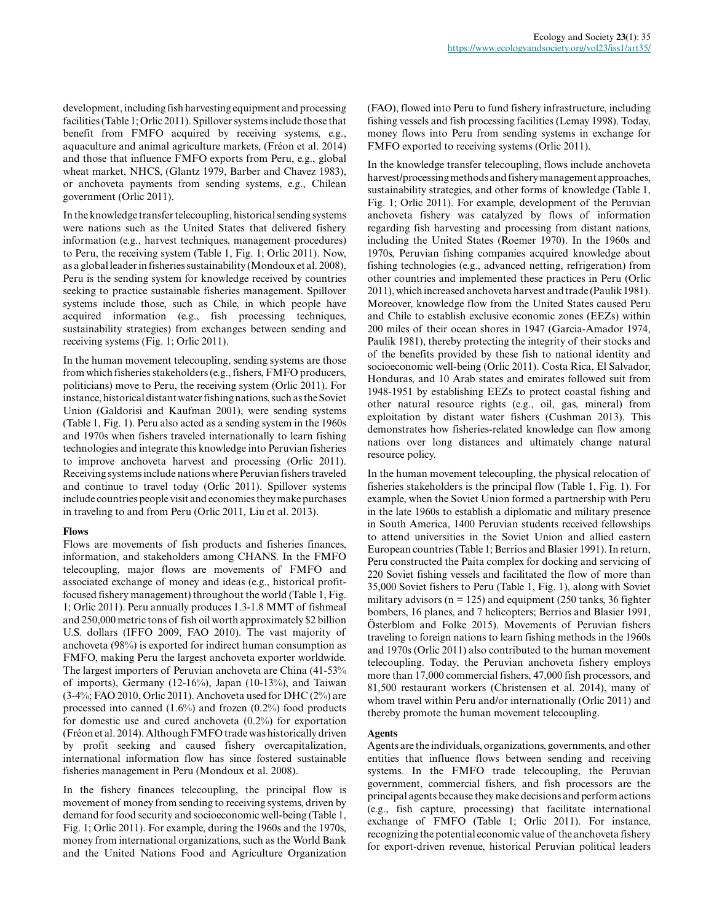development, including fish harvesting equipment and processing facilities (Table 1; Orlic 2011). Spillover systems include those that benefit from FMFO acquired by receiving systems, e.g., aquaculture and animal agriculture markets, (Fréon et al. 2014) and those that influence FMFO exports from Peru, e.g., global wheat market, NHCS, (Glantz 1979, Barber and Chavez 1983), or anchoveta payments from sending systems, e.g., Chilean government (Orlic 2011).

In the knowledge transfer telecoupling, historical sending systems were nations such as the United States that delivered fishery information (e.g., harvest techniques, management procedures) to Peru, the receiving system (Table 1, Fig. 1; Orlic 2011). Now, as a global leader in fisheries sustainability (Mondoux et al. 2008), Peru is the sending system for knowledge received by countries seeking to practice sustainable fisheries management. Spillover systems include those, such as Chile, in which people have acquired information (e.g., fish processing techniques, sustainability strategies) from exchanges between sending and receiving systems (Fig. 1; Orlic 2011).

In the human movement telecoupling, sending systems are those from which fisheries stakeholders (e.g., fishers, FMFO producers, politicians) move to Peru, the receiving system (Orlic 2011). For instance, historical distant water fishing nations, such as the Soviet Union (Galdorisi and Kaufman 2001), were sending systems (Table 1, Fig. 1). Peru also acted as a sending system in the 1960s and 1970s when fishers traveled internationally to learn fishing technologies and integrate this knowledge into Peruvian fisheries to improve anchoveta harvest and processing (Orlic 2011). Receiving systems include nations where Peruvian fishers traveled and continue to travel today (Orlic 2011). Spillover systems include countries people visit and economies they make purchases in traveling to and from Peru (Orlic 2011, Liu et al. 2013).

#### **Flows**

Flows are movements of fish products and fisheries finances, information, and stakeholders among CHANS. In the FMFO telecoupling, major flows are movements of FMFO and associated exchange of money and ideas (e.g., historical profitfocused fishery management) throughout the world (Table 1, Fig. 1; Orlic 2011). Peru annually produces 1.3-1.8 MMT of fishmeal and 250,000 metric tons of fish oil worth approximately \$2 billion U.S. dollars (IFFO 2009, FAO 2010). The vast majority of anchoveta (98%) is exported for indirect human consumption as FMFO, making Peru the largest anchoveta exporter worldwide. The largest importers of Peruvian anchoveta are China (41-53% of imports), Germany (12-16%), Japan (10-13%), and Taiwan (3-4%; FAO 2010, Orlic 2011). Anchoveta used for DHC (2%) are processed into canned  $(1.6\%)$  and frozen  $(0.2\%)$  food products for domestic use and cured anchoveta (0.2%) for exportation (Fréon et al. 2014). Although FMFO trade was historically driven by profit seeking and caused fishery overcapitalization, international information flow has since fostered sustainable fisheries management in Peru (Mondoux et al. 2008).

In the fishery finances telecoupling, the principal flow is movement of money from sending to receiving systems, driven by demand for food security and socioeconomic well-being (Table 1, Fig. 1; Orlic 2011). For example, during the 1960s and the 1970s, money from international organizations, such as the World Bank and the United Nations Food and Agriculture Organization (FAO), flowed into Peru to fund fishery infrastructure, including fishing vessels and fish processing facilities (Lemay 1998). Today, money flows into Peru from sending systems in exchange for FMFO exported to receiving systems (Orlic 2011).

In the knowledge transfer telecoupling, flows include anchoveta harvest/processing methods and fishery management approaches, sustainability strategies, and other forms of knowledge (Table 1, Fig. 1; Orlic 2011). For example, development of the Peruvian anchoveta fishery was catalyzed by flows of information regarding fish harvesting and processing from distant nations, including the United States (Roemer 1970). In the 1960s and 1970s, Peruvian fishing companies acquired knowledge about fishing technologies (e.g., advanced netting, refrigeration) from other countries and implemented these practices in Peru (Orlic 2011), which increased anchoveta harvest and trade (Paulik 1981). Moreover, knowledge flow from the United States caused Peru and Chile to establish exclusive economic zones (EEZs) within 200 miles of their ocean shores in 1947 (Garcia-Amador 1974, Paulik 1981), thereby protecting the integrity of their stocks and of the benefits provided by these fish to national identity and socioeconomic well-being (Orlic 2011). Costa Rica, El Salvador, Honduras, and 10 Arab states and emirates followed suit from 1948-1951 by establishing EEZs to protect coastal fishing and other natural resource rights (e.g., oil, gas, mineral) from exploitation by distant water fishers (Cushman 2013). This demonstrates how fisheries-related knowledge can flow among nations over long distances and ultimately change natural resource policy.

In the human movement telecoupling, the physical relocation of fisheries stakeholders is the principal flow (Table 1, Fig. 1). For example, when the Soviet Union formed a partnership with Peru in the late 1960s to establish a diplomatic and military presence in South America, 1400 Peruvian students received fellowships to attend universities in the Soviet Union and allied eastern European countries (Table 1; Berrios and Blasier 1991). In return, Peru constructed the Paita complex for docking and servicing of 220 Soviet fishing vessels and facilitated the flow of more than 35,000 Soviet fishers to Peru (Table 1, Fig. 1), along with Soviet military advisors ( $n = 125$ ) and equipment (250 tanks, 36 fighter bombers, 16 planes, and 7 helicopters; Berrios and Blasier 1991, Österblom and Folke 2015). Movements of Peruvian fishers traveling to foreign nations to learn fishing methods in the 1960s and 1970s (Orlic 2011) also contributed to the human movement telecoupling. Today, the Peruvian anchoveta fishery employs more than 17,000 commercial fishers, 47,000 fish processors, and 81,500 restaurant workers (Christensen et al. 2014), many of whom travel within Peru and/or internationally (Orlic 2011) and thereby promote the human movement telecoupling.

## **Agents**

Agents are the individuals, organizations, governments, and other entities that influence flows between sending and receiving systems. In the FMFO trade telecoupling, the Peruvian government, commercial fishers, and fish processors are the principal agents because they make decisions and perform actions (e.g., fish capture, processing) that facilitate international exchange of FMFO (Table 1; Orlic 2011). For instance, recognizing the potential economic value of the anchoveta fishery for export-driven revenue, historical Peruvian political leaders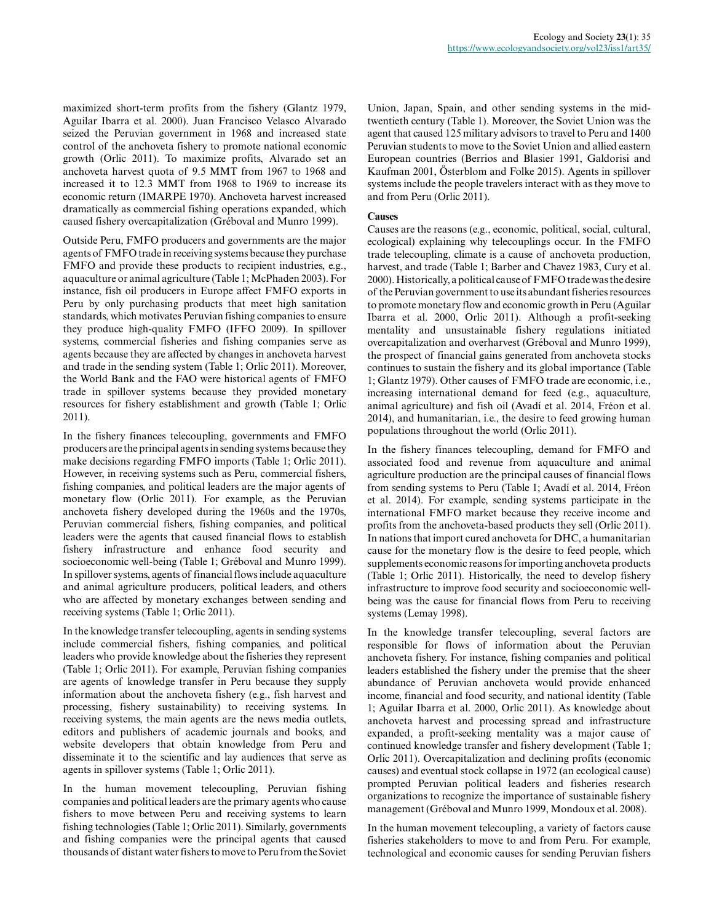maximized short-term profits from the fishery (Glantz 1979, Aguilar Ibarra et al. 2000). Juan Francisco Velasco Alvarado seized the Peruvian government in 1968 and increased state control of the anchoveta fishery to promote national economic growth (Orlic 2011). To maximize profits, Alvarado set an anchoveta harvest quota of 9.5 MMT from 1967 to 1968 and increased it to 12.3 MMT from 1968 to 1969 to increase its economic return (IMARPE 1970). Anchoveta harvest increased dramatically as commercial fishing operations expanded, which caused fishery overcapitalization (Gréboval and Munro 1999).

Outside Peru, FMFO producers and governments are the major agents of FMFO trade in receiving systems because they purchase FMFO and provide these products to recipient industries, e.g., aquaculture or animal agriculture (Table 1; McPhaden 2003). For instance, fish oil producers in Europe affect FMFO exports in Peru by only purchasing products that meet high sanitation standards, which motivates Peruvian fishing companies to ensure they produce high-quality FMFO (IFFO 2009). In spillover systems, commercial fisheries and fishing companies serve as agents because they are affected by changes in anchoveta harvest and trade in the sending system (Table 1; Orlic 2011). Moreover, the World Bank and the FAO were historical agents of FMFO trade in spillover systems because they provided monetary resources for fishery establishment and growth (Table 1; Orlic 2011).

In the fishery finances telecoupling, governments and FMFO producers are the principal agents in sending systems because they make decisions regarding FMFO imports (Table 1; Orlic 2011). However, in receiving systems such as Peru, commercial fishers, fishing companies, and political leaders are the major agents of monetary flow (Orlic 2011). For example, as the Peruvian anchoveta fishery developed during the 1960s and the 1970s, Peruvian commercial fishers, fishing companies, and political leaders were the agents that caused financial flows to establish fishery infrastructure and enhance food security and socioeconomic well-being (Table 1; Gréboval and Munro 1999). In spillover systems, agents of financial flows include aquaculture and animal agriculture producers, political leaders, and others who are affected by monetary exchanges between sending and receiving systems (Table 1; Orlic 2011).

In the knowledge transfer telecoupling, agents in sending systems include commercial fishers, fishing companies, and political leaders who provide knowledge about the fisheries they represent (Table 1; Orlic 2011). For example, Peruvian fishing companies are agents of knowledge transfer in Peru because they supply information about the anchoveta fishery (e.g., fish harvest and processing, fishery sustainability) to receiving systems. In receiving systems, the main agents are the news media outlets, editors and publishers of academic journals and books, and website developers that obtain knowledge from Peru and disseminate it to the scientific and lay audiences that serve as agents in spillover systems (Table 1; Orlic 2011).

In the human movement telecoupling, Peruvian fishing companies and political leaders are the primary agents who cause fishers to move between Peru and receiving systems to learn fishing technologies (Table 1; Orlic 2011). Similarly, governments and fishing companies were the principal agents that caused thousands of distant water fishers to move to Peru from the Soviet

Union, Japan, Spain, and other sending systems in the midtwentieth century (Table 1). Moreover, the Soviet Union was the agent that caused 125 military advisors to travel to Peru and 1400 Peruvian students to move to the Soviet Union and allied eastern European countries (Berrios and Blasier 1991, Galdorisi and Kaufman 2001, Österblom and Folke 2015). Agents in spillover systems include the people travelers interact with as they move to and from Peru (Orlic 2011).

#### **Causes**

Causes are the reasons (e.g., economic, political, social, cultural, ecological) explaining why telecouplings occur. In the FMFO trade telecoupling, climate is a cause of anchoveta production, harvest, and trade (Table 1; Barber and Chavez 1983, Cury et al. 2000). Historically, a political cause of FMFO trade was the desire of the Peruvian government to use its abundant fisheries resources to promote monetary flow and economic growth in Peru (Aguilar Ibarra et al. 2000, Orlic 2011). Although a profit-seeking mentality and unsustainable fishery regulations initiated overcapitalization and overharvest (Gréboval and Munro 1999), the prospect of financial gains generated from anchoveta stocks continues to sustain the fishery and its global importance (Table 1; Glantz 1979). Other causes of FMFO trade are economic, i.e., increasing international demand for feed (e.g., aquaculture, animal agriculture) and fish oil (Avadí et al. 2014, Fréon et al. 2014), and humanitarian, i.e., the desire to feed growing human populations throughout the world (Orlic 2011).

In the fishery finances telecoupling, demand for FMFO and associated food and revenue from aquaculture and animal agriculture production are the principal causes of financial flows from sending systems to Peru (Table 1; Avadí et al. 2014, Fréon et al. 2014). For example, sending systems participate in the international FMFO market because they receive income and profits from the anchoveta-based products they sell (Orlic 2011). In nations that import cured anchoveta for DHC, a humanitarian cause for the monetary flow is the desire to feed people, which supplements economic reasons for importing anchoveta products (Table 1; Orlic 2011). Historically, the need to develop fishery infrastructure to improve food security and socioeconomic wellbeing was the cause for financial flows from Peru to receiving systems (Lemay 1998).

In the knowledge transfer telecoupling, several factors are responsible for flows of information about the Peruvian anchoveta fishery. For instance, fishing companies and political leaders established the fishery under the premise that the sheer abundance of Peruvian anchoveta would provide enhanced income, financial and food security, and national identity (Table 1; Aguilar Ibarra et al. 2000, Orlic 2011). As knowledge about anchoveta harvest and processing spread and infrastructure expanded, a profit-seeking mentality was a major cause of continued knowledge transfer and fishery development (Table 1; Orlic 2011). Overcapitalization and declining profits (economic causes) and eventual stock collapse in 1972 (an ecological cause) prompted Peruvian political leaders and fisheries research organizations to recognize the importance of sustainable fishery management (Gréboval and Munro 1999, Mondoux et al. 2008).

In the human movement telecoupling, a variety of factors cause fisheries stakeholders to move to and from Peru. For example, technological and economic causes for sending Peruvian fishers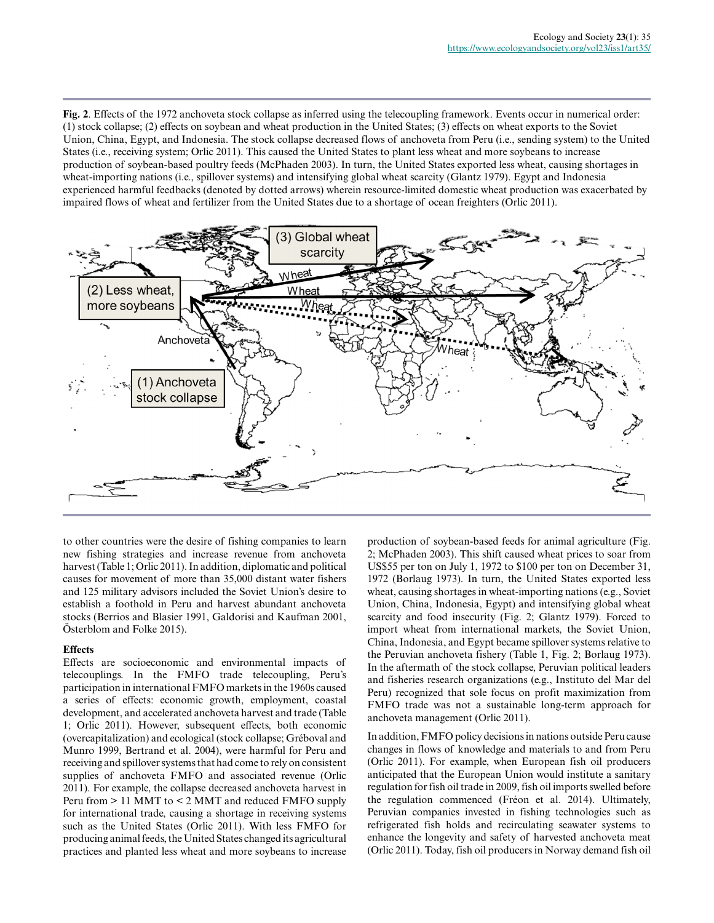**Fig. 2**. Effects of the 1972 anchoveta stock collapse as inferred using the telecoupling framework. Events occur in numerical order: (1) stock collapse; (2) effects on soybean and wheat production in the United States; (3) effects on wheat exports to the Soviet Union, China, Egypt, and Indonesia. The stock collapse decreased flows of anchoveta from Peru (i.e., sending system) to the United States (i.e., receiving system; Orlic 2011). This caused the United States to plant less wheat and more soybeans to increase production of soybean-based poultry feeds (McPhaden 2003). In turn, the United States exported less wheat, causing shortages in wheat-importing nations (i.e., spillover systems) and intensifying global wheat scarcity (Glantz 1979). Egypt and Indonesia experienced harmful feedbacks (denoted by dotted arrows) wherein resource-limited domestic wheat production was exacerbated by impaired flows of wheat and fertilizer from the United States due to a shortage of ocean freighters (Orlic 2011).



to other countries were the desire of fishing companies to learn new fishing strategies and increase revenue from anchoveta harvest (Table 1; Orlic 2011). In addition, diplomatic and political causes for movement of more than 35,000 distant water fishers and 125 military advisors included the Soviet Union's desire to establish a foothold in Peru and harvest abundant anchoveta stocks (Berrios and Blasier 1991, Galdorisi and Kaufman 2001, Osterblom and Folke 2015).

## **Effects**

Effects are socioeconomic and environmental impacts of telecouplings. In the FMFO trade telecoupling, Peru's participation in international FMFO markets in the 1960s caused a series of effects: economic growth, employment, coastal development, and accelerated anchoveta harvest and trade (Table 1; Orlic 2011). However, subsequent effects, both economic (overcapitalization) and ecological (stock collapse; Gréboval and Munro 1999, Bertrand et al. 2004), were harmful for Peru and receiving and spillover systems that had come to rely on consistent supplies of anchoveta FMFO and associated revenue (Orlic 2011). For example, the collapse decreased anchoveta harvest in Peru from > 11 MMT to < 2 MMT and reduced FMFO supply for international trade, causing a shortage in receiving systems such as the United States (Orlic 2011). With less FMFO for producing animal feeds, the United States changed its agricultural practices and planted less wheat and more soybeans to increase production of soybean-based feeds for animal agriculture (Fig. 2; McPhaden 2003). This shift caused wheat prices to soar from US\$55 per ton on July 1, 1972 to \$100 per ton on December 31, 1972 (Borlaug 1973). In turn, the United States exported less wheat, causing shortages in wheat-importing nations (e.g., Soviet Union, China, Indonesia, Egypt) and intensifying global wheat scarcity and food insecurity (Fig. 2; Glantz 1979). Forced to import wheat from international markets, the Soviet Union, China, Indonesia, and Egypt became spillover systems relative to the Peruvian anchoveta fishery (Table 1, Fig. 2; Borlaug 1973). In the aftermath of the stock collapse, Peruvian political leaders and fisheries research organizations (e.g., Instituto del Mar del Peru) recognized that sole focus on profit maximization from FMFO trade was not a sustainable long-term approach for anchoveta management (Orlic 2011).

In addition, FMFO policy decisions in nations outside Peru cause changes in flows of knowledge and materials to and from Peru (Orlic 2011). For example, when European fish oil producers anticipated that the European Union would institute a sanitary regulation for fish oil trade in 2009, fish oil imports swelled before the regulation commenced (Fréon et al. 2014). Ultimately, Peruvian companies invested in fishing technologies such as refrigerated fish holds and recirculating seawater systems to enhance the longevity and safety of harvested anchoveta meat (Orlic 2011). Today, fish oil producers in Norway demand fish oil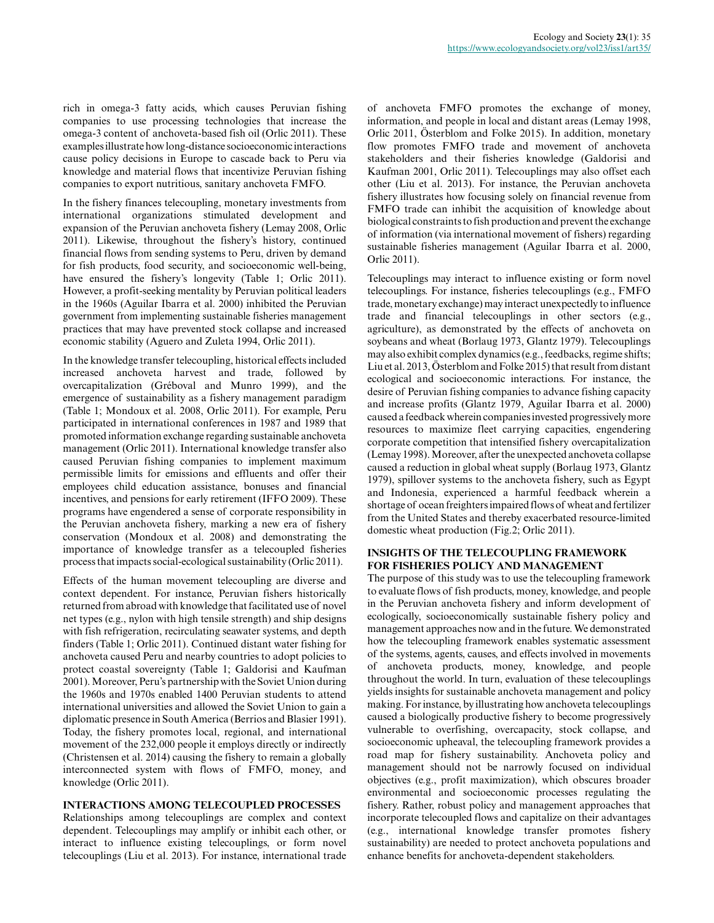rich in omega-3 fatty acids, which causes Peruvian fishing companies to use processing technologies that increase the omega-3 content of anchoveta-based fish oil (Orlic 2011). These examples illustrate how long-distance socioeconomic interactions cause policy decisions in Europe to cascade back to Peru via knowledge and material flows that incentivize Peruvian fishing companies to export nutritious, sanitary anchoveta FMFO.

In the fishery finances telecoupling, monetary investments from international organizations stimulated development and expansion of the Peruvian anchoveta fishery (Lemay 2008, Orlic 2011). Likewise, throughout the fishery's history, continued financial flows from sending systems to Peru, driven by demand for fish products, food security, and socioeconomic well-being, have ensured the fishery's longevity (Table 1; Orlic 2011). However, a profit-seeking mentality by Peruvian political leaders in the 1960s (Aguilar Ibarra et al. 2000) inhibited the Peruvian government from implementing sustainable fisheries management practices that may have prevented stock collapse and increased economic stability (Aguero and Zuleta 1994, Orlic 2011).

In the knowledge transfer telecoupling, historical effects included increased anchoveta harvest and trade, followed by overcapitalization (Gréboval and Munro 1999), and the emergence of sustainability as a fishery management paradigm (Table 1; Mondoux et al. 2008, Orlic 2011). For example, Peru participated in international conferences in 1987 and 1989 that promoted information exchange regarding sustainable anchoveta management (Orlic 2011). International knowledge transfer also caused Peruvian fishing companies to implement maximum permissible limits for emissions and effluents and offer their employees child education assistance, bonuses and financial incentives, and pensions for early retirement (IFFO 2009). These programs have engendered a sense of corporate responsibility in the Peruvian anchoveta fishery, marking a new era of fishery conservation (Mondoux et al. 2008) and demonstrating the importance of knowledge transfer as a telecoupled fisheries process that impacts social-ecological sustainability (Orlic 2011).

Effects of the human movement telecoupling are diverse and context dependent. For instance, Peruvian fishers historically returned from abroad with knowledge that facilitated use of novel net types (e.g., nylon with high tensile strength) and ship designs with fish refrigeration, recirculating seawater systems, and depth finders (Table 1; Orlic 2011). Continued distant water fishing for anchoveta caused Peru and nearby countries to adopt policies to protect coastal sovereignty (Table 1; Galdorisi and Kaufman 2001). Moreover, Peru's partnership with the Soviet Union during the 1960s and 1970s enabled 1400 Peruvian students to attend international universities and allowed the Soviet Union to gain a diplomatic presence in South America (Berrios and Blasier 1991). Today, the fishery promotes local, regional, and international movement of the 232,000 people it employs directly or indirectly (Christensen et al. 2014) causing the fishery to remain a globally interconnected system with flows of FMFO, money, and knowledge (Orlic 2011).

#### **INTERACTIONS AMONG TELECOUPLED PROCESSES**

Relationships among telecouplings are complex and context dependent. Telecouplings may amplify or inhibit each other, or interact to influence existing telecouplings, or form novel telecouplings (Liu et al. 2013). For instance, international trade

of anchoveta FMFO promotes the exchange of money, information, and people in local and distant areas (Lemay 1998, Orlic 2011, Österblom and Folke 2015). In addition, monetary flow promotes FMFO trade and movement of anchoveta stakeholders and their fisheries knowledge (Galdorisi and Kaufman 2001, Orlic 2011). Telecouplings may also offset each other (Liu et al. 2013). For instance, the Peruvian anchoveta fishery illustrates how focusing solely on financial revenue from FMFO trade can inhibit the acquisition of knowledge about biological constraints to fish production and prevent the exchange of information (via international movement of fishers) regarding sustainable fisheries management (Aguilar Ibarra et al. 2000, Orlic 2011).

Telecouplings may interact to influence existing or form novel telecouplings. For instance, fisheries telecouplings (e.g., FMFO trade, monetary exchange) may interact unexpectedly to influence trade and financial telecouplings in other sectors (e.g., agriculture), as demonstrated by the effects of anchoveta on soybeans and wheat (Borlaug 1973, Glantz 1979). Telecouplings may also exhibit complex dynamics (e.g., feedbacks, regime shifts; Liu et al. 2013, Österblom and Folke 2015) that result from distant ecological and socioeconomic interactions. For instance, the desire of Peruvian fishing companies to advance fishing capacity and increase profits (Glantz 1979, Aguilar Ibarra et al. 2000) caused a feedback wherein companies invested progressively more resources to maximize fleet carrying capacities, engendering corporate competition that intensified fishery overcapitalization (Lemay 1998). Moreover, after the unexpected anchoveta collapse caused a reduction in global wheat supply (Borlaug 1973, Glantz 1979), spillover systems to the anchoveta fishery, such as Egypt and Indonesia, experienced a harmful feedback wherein a shortage of ocean freighters impaired flows of wheat and fertilizer from the United States and thereby exacerbated resource-limited domestic wheat production (Fig.2; Orlic 2011).

#### **INSIGHTS OF THE TELECOUPLING FRAMEWORK FOR FISHERIES POLICY AND MANAGEMENT**

The purpose of this study was to use the telecoupling framework to evaluate flows of fish products, money, knowledge, and people in the Peruvian anchoveta fishery and inform development of ecologically, socioeconomically sustainable fishery policy and management approaches now and in the future. We demonstrated how the telecoupling framework enables systematic assessment of the systems, agents, causes, and effects involved in movements of anchoveta products, money, knowledge, and people throughout the world. In turn, evaluation of these telecouplings yields insights for sustainable anchoveta management and policy making. For instance, by illustrating how anchoveta telecouplings caused a biologically productive fishery to become progressively vulnerable to overfishing, overcapacity, stock collapse, and socioeconomic upheaval, the telecoupling framework provides a road map for fishery sustainability. Anchoveta policy and management should not be narrowly focused on individual objectives (e.g., profit maximization), which obscures broader environmental and socioeconomic processes regulating the fishery. Rather, robust policy and management approaches that incorporate telecoupled flows and capitalize on their advantages (e.g., international knowledge transfer promotes fishery sustainability) are needed to protect anchoveta populations and enhance benefits for anchoveta-dependent stakeholders.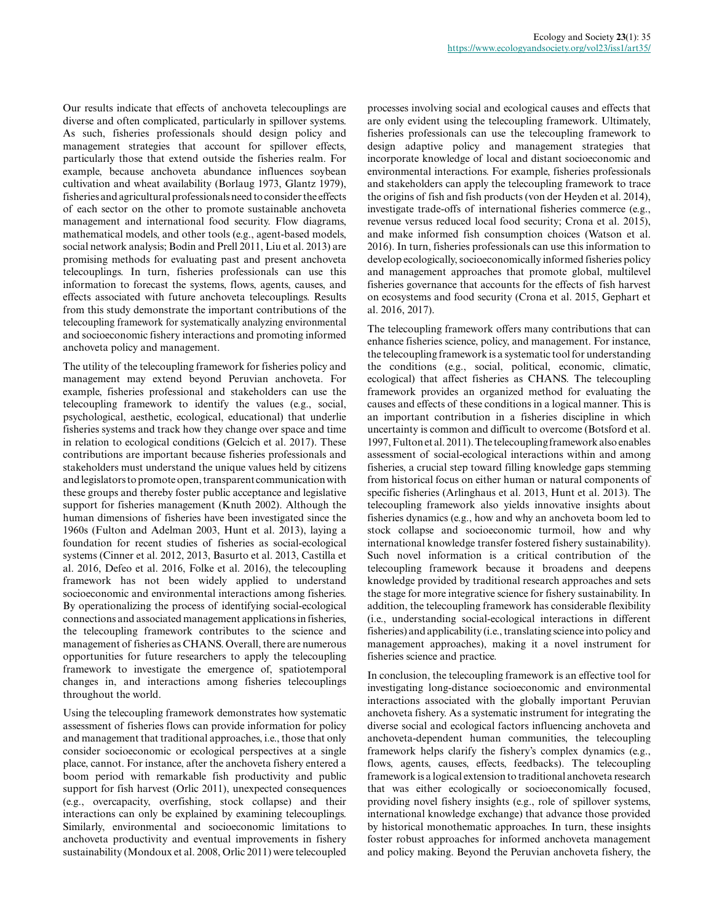Our results indicate that effects of anchoveta telecouplings are diverse and often complicated, particularly in spillover systems. As such, fisheries professionals should design policy and management strategies that account for spillover effects, particularly those that extend outside the fisheries realm. For example, because anchoveta abundance influences soybean cultivation and wheat availability (Borlaug 1973, Glantz 1979), fisheries and agricultural professionals need to consider the effects of each sector on the other to promote sustainable anchoveta management and international food security. Flow diagrams, mathematical models, and other tools (e.g., agent-based models, social network analysis; Bodin and Prell 2011, Liu et al. 2013) are promising methods for evaluating past and present anchoveta telecouplings. In turn, fisheries professionals can use this information to forecast the systems, flows, agents, causes, and effects associated with future anchoveta telecouplings. Results from this study demonstrate the important contributions of the telecoupling framework for systematically analyzing environmental and socioeconomic fishery interactions and promoting informed anchoveta policy and management.

The utility of the telecoupling framework for fisheries policy and management may extend beyond Peruvian anchoveta. For example, fisheries professional and stakeholders can use the telecoupling framework to identify the values (e.g., social, psychological, aesthetic, ecological, educational) that underlie fisheries systems and track how they change over space and time in relation to ecological conditions (Gelcich et al. 2017). These contributions are important because fisheries professionals and stakeholders must understand the unique values held by citizens and legislators to promote open, transparent communication with these groups and thereby foster public acceptance and legislative support for fisheries management (Knuth 2002). Although the human dimensions of fisheries have been investigated since the 1960s (Fulton and Adelman 2003, Hunt et al. 2013), laying a foundation for recent studies of fisheries as social-ecological systems (Cinner et al. 2012, 2013, Basurto et al. 2013, Castilla et al. 2016, Defeo et al. 2016, Folke et al. 2016), the telecoupling framework has not been widely applied to understand socioeconomic and environmental interactions among fisheries. By operationalizing the process of identifying social-ecological connections and associated management applications in fisheries, the telecoupling framework contributes to the science and management of fisheries as CHANS. Overall, there are numerous opportunities for future researchers to apply the telecoupling framework to investigate the emergence of, spatiotemporal changes in, and interactions among fisheries telecouplings throughout the world.

Using the telecoupling framework demonstrates how systematic assessment of fisheries flows can provide information for policy and management that traditional approaches, i.e., those that only consider socioeconomic or ecological perspectives at a single place, cannot. For instance, after the anchoveta fishery entered a boom period with remarkable fish productivity and public support for fish harvest (Orlic 2011), unexpected consequences (e.g., overcapacity, overfishing, stock collapse) and their interactions can only be explained by examining telecouplings. Similarly, environmental and socioeconomic limitations to anchoveta productivity and eventual improvements in fishery sustainability (Mondoux et al. 2008, Orlic 2011) were telecoupled

processes involving social and ecological causes and effects that are only evident using the telecoupling framework. Ultimately, fisheries professionals can use the telecoupling framework to design adaptive policy and management strategies that incorporate knowledge of local and distant socioeconomic and environmental interactions. For example, fisheries professionals and stakeholders can apply the telecoupling framework to trace the origins of fish and fish products (von der Heyden et al. 2014), investigate trade-offs of international fisheries commerce (e.g., revenue versus reduced local food security; Crona et al. 2015), and make informed fish consumption choices (Watson et al. 2016). In turn, fisheries professionals can use this information to develop ecologically, socioeconomically informed fisheries policy and management approaches that promote global, multilevel fisheries governance that accounts for the effects of fish harvest on ecosystems and food security (Crona et al. 2015, Gephart et al. 2016, 2017).

The telecoupling framework offers many contributions that can enhance fisheries science, policy, and management. For instance, the telecoupling framework is a systematic tool for understanding the conditions (e.g., social, political, economic, climatic, ecological) that affect fisheries as CHANS. The telecoupling framework provides an organized method for evaluating the causes and effects of these conditions in a logical manner. This is an important contribution in a fisheries discipline in which uncertainty is common and difficult to overcome (Botsford et al. 1997, Fulton et al. 2011). The telecoupling framework also enables assessment of social-ecological interactions within and among fisheries, a crucial step toward filling knowledge gaps stemming from historical focus on either human or natural components of specific fisheries (Arlinghaus et al. 2013, Hunt et al. 2013). The telecoupling framework also yields innovative insights about fisheries dynamics (e.g., how and why an anchoveta boom led to stock collapse and socioeconomic turmoil, how and why international knowledge transfer fostered fishery sustainability). Such novel information is a critical contribution of the telecoupling framework because it broadens and deepens knowledge provided by traditional research approaches and sets the stage for more integrative science for fishery sustainability. In addition, the telecoupling framework has considerable flexibility (i.e., understanding social-ecological interactions in different fisheries) and applicability (i.e., translating science into policy and management approaches), making it a novel instrument for fisheries science and practice.

In conclusion, the telecoupling framework is an effective tool for investigating long-distance socioeconomic and environmental interactions associated with the globally important Peruvian anchoveta fishery. As a systematic instrument for integrating the diverse social and ecological factors influencing anchoveta and anchoveta-dependent human communities, the telecoupling framework helps clarify the fishery's complex dynamics (e.g., flows, agents, causes, effects, feedbacks). The telecoupling framework is a logical extension to traditional anchoveta research that was either ecologically or socioeconomically focused, providing novel fishery insights (e.g., role of spillover systems, international knowledge exchange) that advance those provided by historical monothematic approaches. In turn, these insights foster robust approaches for informed anchoveta management and policy making. Beyond the Peruvian anchoveta fishery, the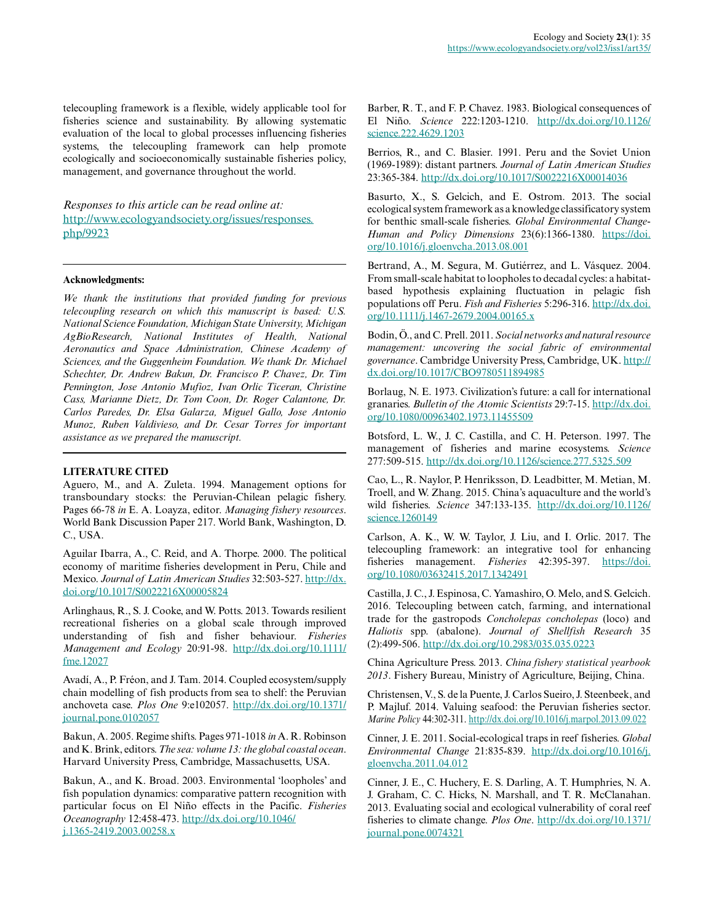telecoupling framework is a flexible, widely applicable tool for fisheries science and sustainability. By allowing systematic evaluation of the local to global processes influencing fisheries systems, the telecoupling framework can help promote ecologically and socioeconomically sustainable fisheries policy, management, and governance throughout the world.

*Responses to this article can be read online at:* [http://www.ecologyandsociety.org/issues/responses.](http://www.ecologyandsociety.org/issues/responses.php/9923) [php/9923](http://www.ecologyandsociety.org/issues/responses.php/9923)

#### **Acknowledgments:**

*We thank the institutions that provided funding for previous telecoupling research on which this manuscript is based: U.S. National Science Foundation, Michigan State University, Michigan AgBioResearch, National Institutes of Health, National Aeronautics and Space Administration, Chinese Academy of Sciences, and the Guggenheim Foundation. We thank Dr. Michael Schechter, Dr. Andrew Bakun, Dr. Francisco P. Chavez, Dr. Tim Pennington, Jose Antonio Mufioz, Ivan Orlic Ticeran, Christine Cass, Marianne Dietz, Dr. Tom Coon, Dr. Roger Calantone, Dr. Carlos Paredes, Dr. Elsa Galarza, Miguel Gallo, Jose Antonio Munoz, Ruben Valdivieso, and Dr. Cesar Torres for important assistance as we prepared the manuscript.*

#### **LITERATURE CITED**

Aguero, M., and A. Zuleta. 1994. Management options for transboundary stocks: the Peruvian-Chilean pelagic fishery. Pages 66-78 *in* E. A. Loayza, editor. *Managing fishery resources*. World Bank Discussion Paper 217. World Bank, Washington, D. C., USA.

Aguilar Ibarra, A., C. Reid, and A. Thorpe. 2000. The political economy of maritime fisheries development in Peru, Chile and Mexico. *Journal of Latin American Studies* 32:503-527. [http://dx.](http://dx.doi.org/10.1017%2FS0022216X00005824) [doi.org/10.1017/S0022216X00005824](http://dx.doi.org/10.1017%2FS0022216X00005824)

Arlinghaus, R., S. J. Cooke, and W. Potts. 2013. Towards resilient recreational fisheries on a global scale through improved understanding of fish and fisher behaviour. *Fisheries Management and Ecology* 20:91-98. [http://dx.doi.org/10.1111/](http://dx.doi.org/10.1111%2Ffme.12027) [fme.12027](http://dx.doi.org/10.1111%2Ffme.12027) 

Avadí, A., P. Fréon, and J. Tam. 2014. Coupled ecosystem/supply chain modelling of fish products from sea to shelf: the Peruvian anchoveta case. *Plos One* 9:e102057. [http://dx.doi.org/10.1371/](http://dx.doi.org/10.1371%2Fjournal.pone.0102057) [journal.pone.0102057](http://dx.doi.org/10.1371%2Fjournal.pone.0102057)

Bakun, A. 2005. Regime shifts. Pages 971-1018 *in* A. R. Robinson and K. Brink, editors. *The sea: volume 13: the global coastal ocean*. Harvard University Press, Cambridge, Massachusetts, USA.

Bakun, A., and K. Broad. 2003. Environmental 'loopholes' and fish population dynamics: comparative pattern recognition with particular focus on El Niño effects in the Pacific. *Fisheries Oceanography* 12:458-473. [http://dx.doi.org/10.1046/](http://dx.doi.org/10.1046%2Fj.1365-2419.2003.00258.x) [j.1365-2419.2003.00258.x](http://dx.doi.org/10.1046%2Fj.1365-2419.2003.00258.x)

Barber, R. T., and F. P. Chavez. 1983. Biological consequences of El Niño. *Science* 222:1203-1210. [http://dx.doi.org/10.1126/](http://dx.doi.org/10.1126%2Fscience.222.4629.1203) science.222.4629.1203

Berrios, R., and C. Blasier. 1991. Peru and the Soviet Union (1969-1989): distant partners. *Journal of Latin American Studies* 23:365-384. [http://dx.doi.org/10.1017/S0022216X00014036](http://dx.doi.org/10.1017%2FS0022216X00014036) 

Basurto, X., S. Gelcich, and E. Ostrom. 2013. The social ecological system framework as a knowledge classificatory system for benthic small-scale fisheries. *Global Environmental Change-Human and Policy Dimensions* 23(6):1366-1380. [https://doi.](https://doi.org/10.1016/j.gloenvcha.2013.08.001) [org/10.1016/j.gloenvcha.2013.08.001](https://doi.org/10.1016/j.gloenvcha.2013.08.001)

Bertrand, A., M. Segura, M. Gutiérrez, and L. Vásquez. 2004. From small-scale habitat to loopholes to decadal cycles: a habitatbased hypothesis explaining fluctuation in pelagic fish populations off Peru. *Fish and Fisheries* 5:296-316. [http://dx.doi.](http://dx.doi.org/10.1111%2Fj.1467-2679.2004.00165.x) [org/10.1111/j.1467-2679.2004.00165.x](http://dx.doi.org/10.1111%2Fj.1467-2679.2004.00165.x)

Bodin, Ö., and C. Prell. 2011. *Social networks and natural resource management: uncovering the social fabric of environmental governance*. Cambridge University Press, Cambridge, UK. [http://](http://dx.doi.org/10.1017%2FCBO9780511894985) [dx.doi.org/10.1017/CBO9780511894985](http://dx.doi.org/10.1017%2FCBO9780511894985) 

Borlaug, N. E. 1973. Civilization's future: a call for international granaries. *Bulletin of the Atomic Scientists* 29:7-15. [http://dx.doi.](http://dx.doi.org/10.1080%2F00963402.1973.11455509) [org/10.1080/00963402.1973.11455509](http://dx.doi.org/10.1080%2F00963402.1973.11455509)

Botsford, L. W., J. C. Castilla, and C. H. Peterson. 1997. The management of fisheries and marine ecosystems. *Science* 277:509-515. [http://dx.doi.org/10.1126/science.277.5325.509](http://dx.doi.org/10.1126%2Fscience.277.5325.509)

Cao, L., R. Naylor, P. Henriksson, D. Leadbitter, M. Metian, M. Troell, and W. Zhang. 2015. China's aquaculture and the world's wild fisheries. *Science* 347:133-135. [http://dx.doi.org/10.1126/](http://dx.doi.org/10.1126%2Fscience.1260149) [science.1260149](http://dx.doi.org/10.1126%2Fscience.1260149)

Carlson, A. K., W. W. Taylor, J. Liu, and I. Orlic. 2017. The telecoupling framework: an integrative tool for enhancing fisheries management. *Fisheries* 42:395-397. [https://doi.](https://doi.org/10.1080/03632415.2017.1342491) [org/10.1080/03632415.2017.1342491](https://doi.org/10.1080/03632415.2017.1342491) 

Castilla, J. C., J. Espinosa, C. Yamashiro, O. Melo, and S. Gelcich. 2016. Telecoupling between catch, farming, and international trade for the gastropods *Concholepas concholepas* (loco) and *Haliotis* spp. (abalone). *Journal of Shellfish Research* 35 (2):499-506. [http://dx.doi.org/10.2983/035.035.0223](http://dx.doi.org/10.2983%2F035.035.0223) 

China Agriculture Press. 2013. *China fishery statistical yearbook 2013*. Fishery Bureau, Ministry of Agriculture, Beijing, China.

Christensen, V., S. de la Puente, J. Carlos Sueiro, J. Steenbeek, and P. Majluf. 2014. Valuing seafood: the Peruvian fisheries sector. *Marine Policy* 44:302-311. [http://dx.doi.org/10.1016/j.marpol.2013.09.022](http://dx.doi.org/10.1016%2Fj.marpol.2013.09.022)

Cinner, J. E. 2011. Social-ecological traps in reef fisheries. *Global Environmental Change* 21:835-839. [http://dx.doi.org/10.1016/j.](http://dx.doi.org/10.1016%2Fj.gloenvcha.2011.04.012) [gloenvcha.2011.04.012](http://dx.doi.org/10.1016%2Fj.gloenvcha.2011.04.012)

Cinner, J. E., C. Huchery, E. S. Darling, A. T. Humphries, N. A. J. Graham, C. C. Hicks, N. Marshall, and T. R. McClanahan. 2013. Evaluating social and ecological vulnerability of coral reef fisheries to climate change. *Plos One*. [http://dx.doi.org/10.1371/](http://dx.doi.org/10.1371%2Fjournal.pone.0074321) [journal.pone.0074321](http://dx.doi.org/10.1371%2Fjournal.pone.0074321)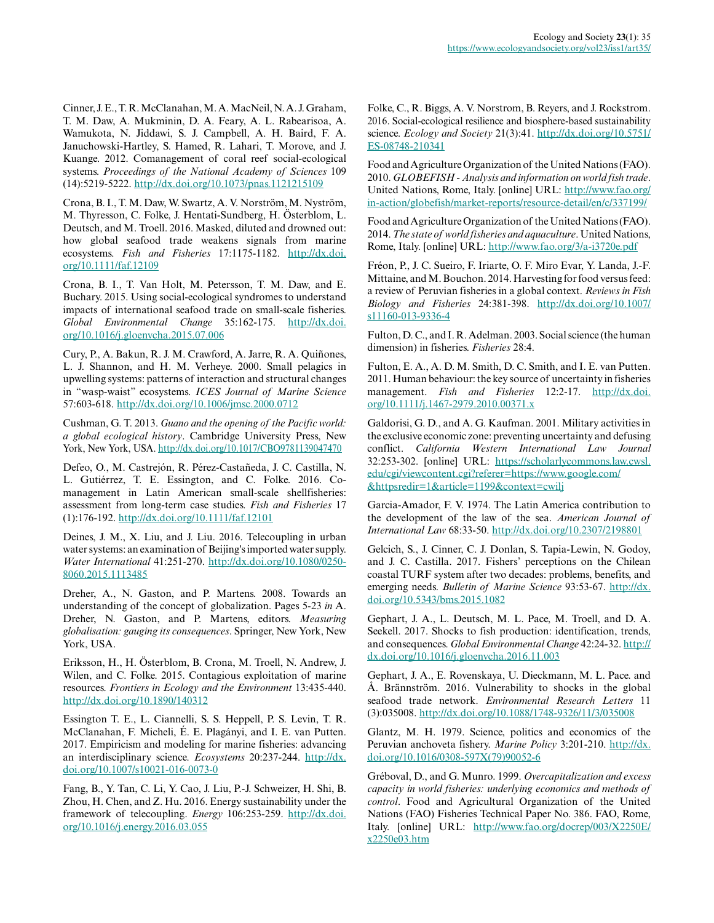Cinner, J. E., T. R. McClanahan, M. A. MacNeil, N. A. J. Graham, T. M. Daw, A. Mukminin, D. A. Feary, A. L. Rabearisoa, A. Wamukota, N. Jiddawi, S. J. Campbell, A. H. Baird, F. A. Januchowski-Hartley, S. Hamed, R. Lahari, T. Morove, and J. Kuange. 2012. Comanagement of coral reef social-ecological systems. *Proceedings of the National Academy of Sciences* 109 (14):5219-5222. [http://dx.doi.org/10.1073/pnas.1121215109](http://dx.doi.org/10.1073%2Fpnas.1121215109)

Crona, B. I., T. M. Daw, W. Swartz, A. V. Norström, M. Nyström, M. Thyresson, C. Folke, J. Hentati-Sundberg, H. Österblom, L. Deutsch, and M. Troell. 2016. Masked, diluted and drowned out: how global seafood trade weakens signals from marine ecosystems. *Fish and Fisheries* 17:1175-1182. [http://dx.doi.](http://dx.doi.org/10.1111%2Ffaf.12109) [org/10.1111/faf.12109](http://dx.doi.org/10.1111%2Ffaf.12109)

Crona, B. I., T. Van Holt, M. Petersson, T. M. Daw, and E. Buchary. 2015. Using social-ecological syndromes to understand impacts of international seafood trade on small-scale fisheries. *Global Environmental Change* 35:162-175. [http://dx.doi.](http://dx.doi.org/10.1016%2Fj.gloenvcha.2015.07.006) [org/10.1016/j.gloenvcha.2015.07.006](http://dx.doi.org/10.1016%2Fj.gloenvcha.2015.07.006)

Cury, P., A. Bakun, R. J. M. Crawford, A. Jarre, R. A. Quiñones, L. J. Shannon, and H. M. Verheye. 2000. Small pelagics in upwelling systems: patterns of interaction and structural changes in "wasp-waist" ecosystems. *ICES Journal of Marine Science* 57:603-618. [http://dx.doi.org/10.1006/jmsc.2000.0712](http://dx.doi.org/10.1006%2Fjmsc.2000.0712) 

Cushman, G. T. 2013. *Guano and the opening of the Pacific world: a global ecological history*. Cambridge University Press, New York, New York, USA. [http://dx.doi.org/10.1017/CBO9781139047470](http://dx.doi.org/10.1017%2FCBO9781139047470) 

Defeo, O., M. Castrejón, R. Pérez-Castañeda, J. C. Castilla, N. L. Gutiérrez, T. E. Essington, and C. Folke. 2016. Comanagement in Latin American small-scale shellfisheries: assessment from long-term case studies. *Fish and Fisheries* 17 (1):176-192. [http://dx.doi.org/10.1111/faf.12101](http://dx.doi.org/10.1111%2Ffaf.12101) 

Deines, J. M., X. Liu, and J. Liu. 2016. Telecoupling in urban water systems: an examination of Beijing's imported water supply. *Water International* 41:251-270. [http://dx.doi.org/10.1080/0250](http://dx.doi.org/10.1080%2F02508060.2015.1113485) [8060.2015.1113485](http://dx.doi.org/10.1080%2F02508060.2015.1113485)

Dreher, A., N. Gaston, and P. Martens. 2008. Towards an understanding of the concept of globalization. Pages 5-23 *in* A. Dreher, N. Gaston, and P. Martens, editors. *Measuring globalisation: gauging its consequences*. Springer, New York, New York, USA.

Eriksson, H., H. Österblom, B. Crona, M. Troell, N. Andrew, J. Wilen, and C. Folke. 2015. Contagious exploitation of marine resources. *Frontiers in Ecology and the Environment* 13:435-440. [http://dx.doi.org/10.1890/140312](http://dx.doi.org/10.1890%2F140312)

Essington T. E., L. Ciannelli, S. S. Heppell, P. S. Levin, T. R. McClanahan, F. Micheli, É. E. Plagányi, and I. E. van Putten. 2017. Empiricism and modeling for marine fisheries: advancing an interdisciplinary science. *Ecosystems* 20:237-244. [http://dx.](http://dx.doi.org/10.1007%2Fs10021-016-0073-0) [doi.org/10.1007/s10021-016-0073-0](http://dx.doi.org/10.1007%2Fs10021-016-0073-0) 

Fang, B., Y. Tan, C. Li, Y. Cao, J. Liu, P.-J. Schweizer, H. Shi, B. Zhou, H. Chen, and Z. Hu. 2016. Energy sustainability under the framework of telecoupling. *Energy* 106:253-259. [http://dx.doi.](http://dx.doi.org/10.1016%2Fj.energy.2016.03.055) [org/10.1016/j.energy.2016.03.055](http://dx.doi.org/10.1016%2Fj.energy.2016.03.055) 

Folke, C., R. Biggs, A. V. Norstrom, B. Reyers, and J. Rockstrom. 2016. Social-ecological resilience and biosphere-based sustainability science. *Ecology and Society* 21(3):41. [http://dx.doi.org/10.5751/](http://dx.doi.org/10.5751%2FES-08748-210341) [ES-08748-210341](http://dx.doi.org/10.5751%2FES-08748-210341)

Food and Agriculture Organization of the United Nations (FAO). 2010. *GLOBEFISH - Analysis and information on world fish trade*. United Nations, Rome, Italy. [online] URL: [http://www.fao.org/](http://www.fao.org/in-action/globefish/market-reports/resource-detail/en/c/337199/) [in-action/globefish/market-reports/resource-detail/en/c/337199/](http://www.fao.org/in-action/globefish/market-reports/resource-detail/en/c/337199/) 

Food and Agriculture Organization of the United Nations (FAO). 2014. *The state of world fisheries and aquaculture*. United Nations, Rome, Italy. [online] URL: <http://www.fao.org/3/a-i3720e.pdf>

Fréon, P., J. C. Sueiro, F. Iriarte, O. F. Miro Evar, Y. Landa, J.-F. Mittaine, and M. Bouchon. 2014. Harvesting for food versus feed: a review of Peruvian fisheries in a global context. *Reviews in Fish Biology and Fisheries* 24:381-398. [http://dx.doi.org/10.1007/](http://dx.doi.org/10.1007%2Fs11160-013-9336-4) [s11160-013-9336-4](http://dx.doi.org/10.1007%2Fs11160-013-9336-4) 

Fulton, D. C., and I. R. Adelman. 2003. Social science (the human dimension) in fisheries. *Fisheries* 28:4.

Fulton, E. A., A. D. M. Smith, D. C. Smith, and I. E. van Putten. 2011. Human behaviour: the key source of uncertainty in fisheries management. *Fish and Fisheries* 12:2-17. [http://dx.doi.](http://dx.doi.org/10.1111%2Fj.1467-2979.2010.00371.x) [org/10.1111/j.1467-2979.2010.00371.x](http://dx.doi.org/10.1111%2Fj.1467-2979.2010.00371.x)

Galdorisi, G. D., and A. G. Kaufman. 2001. Military activities in the exclusive economic zone: preventing uncertainty and defusing conflict. *California Western International Law Journal* 32:253-302. [online] URL: [https://scholarlycommons.law.cwsl.](https://scholarlycommons.law.cwsl.edu/cgi/viewcontent.cgi?referer=https://www.google.com/&httpsredir=1&article=1199&context=cwilj) [edu/cgi/viewcontent.cgi?referer=https://www.google.com/](https://scholarlycommons.law.cwsl.edu/cgi/viewcontent.cgi?referer=https://www.google.com/&httpsredir=1&article=1199&context=cwilj) [&httpsredir=1&article=1199&context=cwilj](https://scholarlycommons.law.cwsl.edu/cgi/viewcontent.cgi?referer=https://www.google.com/&httpsredir=1&article=1199&context=cwilj) 

Garcia-Amador, F. V. 1974. The Latin America contribution to the development of the law of the sea. *American Journal of International Law* 68:33-50. [http://dx.doi.org/10.2307/2198801](http://dx.doi.org/10.2307%2F2198801) 

Gelcich, S., J. Cinner, C. J. Donlan, S. Tapia-Lewin, N. Godoy, and J. C. Castilla. 2017. Fishers' perceptions on the Chilean coastal TURF system after two decades: problems, benefits, and emerging needs. *Bulletin of Marine Science* 93:53-67. [http://dx.](http://dx.doi.org/10.5343%2Fbms.2015.1082) [doi.org/10.5343/bms.2015.1082](http://dx.doi.org/10.5343%2Fbms.2015.1082)

Gephart, J. A., L. Deutsch, M. L. Pace, M. Troell, and D. A. Seekell. 2017. Shocks to fish production: identification, trends, and consequences. *Global Environmental Change* 42:24-32. [http://](http://dx.doi.org/10.1016%2Fj.gloenvcha.2016.11.003) [dx.doi.org/10.1016/j.gloenvcha.2016.11.003](http://dx.doi.org/10.1016%2Fj.gloenvcha.2016.11.003) 

Gephart, J. A., E. Rovenskaya, U. Dieckmann, M. L. Pace. and Å. Brännström. 2016. Vulnerability to shocks in the global seafood trade network. *Environmental Research Letters* 11 (3):035008. [http://dx.doi.org/10.1088/1748-9326/11/3/035008](http://dx.doi.org/10.1088%2F1748-9326%2F11%2F3%2F035008)

Glantz, M. H. 1979. Science, politics and economics of the Peruvian anchoveta fishery. *Marine Policy* 3:201-210. [http://dx.](http://dx.doi.org/10.1016%2F0308-597X%2879%2990052-6) [doi.org/10.1016/0308-597X\(79\)90052-6](http://dx.doi.org/10.1016%2F0308-597X%2879%2990052-6)

Gréboval, D., and G. Munro. 1999. *Overcapitalization and excess capacity in world fisheries: underlying economics and methods of control*. Food and Agricultural Organization of the United Nations (FAO) Fisheries Technical Paper No. 386. FAO, Rome, Italy. [online] URL: [http://www.fao.org/docrep/003/X2250E/](http://www.fao.org/docrep/003/X2250E/x2250e03.htm) [x2250e03.htm](http://www.fao.org/docrep/003/X2250E/x2250e03.htm)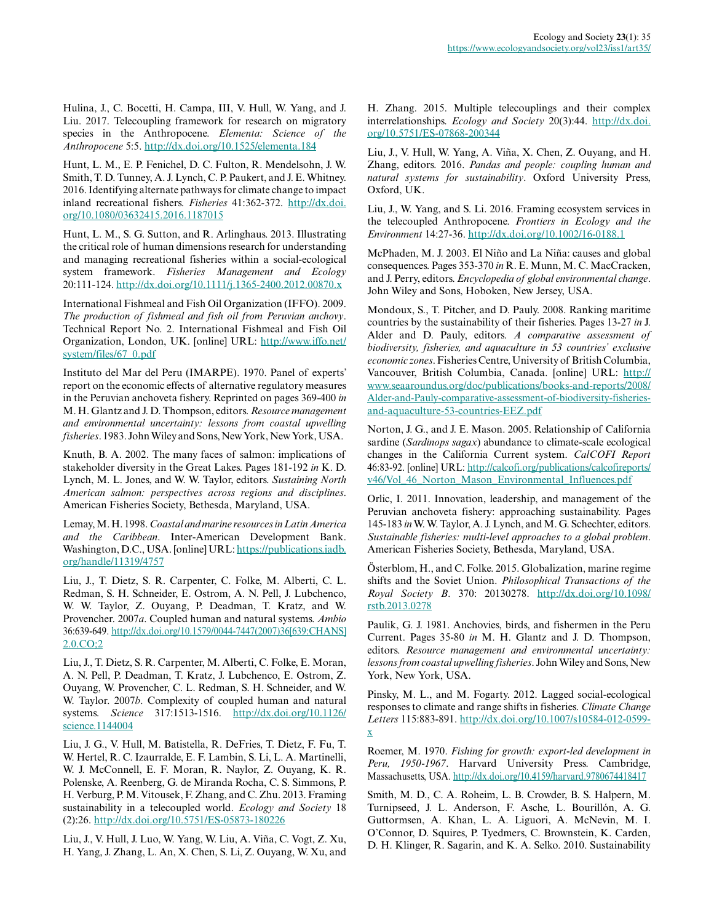Hulina, J., C. Bocetti, H. Campa, III, V. Hull, W. Yang, and J. Liu. 2017. Telecoupling framework for research on migratory species in the Anthropocene. *Elementa: Science of the Anthropocene* 5:5. [http://dx.doi.org/10.1525/elementa.184](http://dx.doi.org/10.1525%2Felementa.184)

Hunt, L. M., E. P. Fenichel, D. C. Fulton, R. Mendelsohn, J. W. Smith, T. D. Tunney, A. J. Lynch, C. P. Paukert, and J. E. Whitney. 2016. Identifying alternate pathways for climate change to impact inland recreational fishers. *Fisheries* 41:362-372. [http://dx.doi.](http://dx.doi.org/10.1080%2F03632415.2016.1187015) [org/10.1080/03632415.2016.1187015](http://dx.doi.org/10.1080%2F03632415.2016.1187015) 

Hunt, L. M., S. G. Sutton, and R. Arlinghaus. 2013. Illustrating the critical role of human dimensions research for understanding and managing recreational fisheries within a social-ecological system framework. *Fisheries Management and Ecology* 20:111-124. [http://dx.doi.org/10.1111/j.1365-2400.2012.00870.x](http://dx.doi.org/10.1111%2Fj.1365-2400.2012.00870.x)

International Fishmeal and Fish Oil Organization (IFFO). 2009. *The production of fishmeal and fish oil from Peruvian anchovy*. Technical Report No. 2. International Fishmeal and Fish Oil Organization, London, UK. [online] URL: [http://www.iffo.net/](http://www.iffo.net/system/files/67_0.pdf) [system/files/67\\_0.pdf](http://www.iffo.net/system/files/67_0.pdf)

Instituto del Mar del Peru (IMARPE). 1970. Panel of experts' report on the economic effects of alternative regulatory measures in the Peruvian anchoveta fishery. Reprinted on pages 369-400 *in* M. H. Glantz and J. D. Thompson, editors. *Resource management and environmental uncertainty: lessons from coastal upwelling fisheries*. 1983. John Wiley and Sons, New York, New York, USA.

Knuth, B. A. 2002. The many faces of salmon: implications of stakeholder diversity in the Great Lakes. Pages 181-192 *in* K. D. Lynch, M. L. Jones, and W. W. Taylor, editors. *Sustaining North American salmon: perspectives across regions and disciplines*. American Fisheries Society, Bethesda, Maryland, USA.

Lemay, M. H. 1998. *Coastal and marine resources in Latin America and the Caribbean*. Inter-American Development Bank. Washington, D.C., USA. [online] URL: [https://publications.iadb.](https://publications.iadb.org/handle/11319/4757) [org/handle/11319/4757](https://publications.iadb.org/handle/11319/4757) 

Liu, J., T. Dietz, S. R. Carpenter, C. Folke, M. Alberti, C. L. Redman, S. H. Schneider, E. Ostrom, A. N. Pell, J. Lubchenco, W. W. Taylor, Z. Ouyang, P. Deadman, T. Kratz, and W. Provencher. 2007*a*. Coupled human and natural systems. *Ambio* 36:639-649. [http://dx.doi.org/10.1579/0044-7447\(2007\)36\[639:CHANS\]](http://dx.doi.org/10.1579%2F0044-7447%282007%2936%5B639%3ACHANS%5D2.0.CO%3B2) [2.0.CO;2](http://dx.doi.org/10.1579%2F0044-7447%282007%2936%5B639%3ACHANS%5D2.0.CO%3B2)

Liu, J., T. Dietz, S. R. Carpenter, M. Alberti, C. Folke, E. Moran, A. N. Pell, P. Deadman, T. Kratz, J. Lubchenco, E. Ostrom, Z. Ouyang, W. Provencher, C. L. Redman, S. H. Schneider, and W. W. Taylor. 2007*b*. Complexity of coupled human and natural systems. *Science* 317:1513-1516. [http://dx.doi.org/10.1126/](http://dx.doi.org/10.1126%2Fscience.1144004) [science.1144004](http://dx.doi.org/10.1126%2Fscience.1144004)

Liu, J. G., V. Hull, M. Batistella, R. DeFries, T. Dietz, F. Fu, T. W. Hertel, R. C. Izaurralde, E. F. Lambin, S. Li, L. A. Martinelli, W. J. McConnell, E. F. Moran, R. Naylor, Z. Ouyang, K. R. Polenske, A. Reenberg, G. de Miranda Rocha, C. S. Simmons, P. H. Verburg, P. M. Vitousek, F. Zhang, and C. Zhu. 2013. Framing sustainability in a telecoupled world. *Ecology and Society* 18 (2):26. [http://dx.doi.org/10.5751/ES-05873-180226](http://dx.doi.org/10.5751%2FES-05873-180226)

Liu, J., V. Hull, J. Luo, W. Yang, W. Liu, A. Viña, C. Vogt, Z. Xu, H. Yang, J. Zhang, L. An, X. Chen, S. Li, Z. Ouyang, W. Xu, and H. Zhang. 2015. Multiple telecouplings and their complex interrelationships. *Ecology and Society* 20(3):44. [http://dx.doi.](http://dx.doi.org/10.5751%2FES-07868-200344) [org/10.5751/ES-07868-200344](http://dx.doi.org/10.5751%2FES-07868-200344) 

Liu, J., V. Hull, W. Yang, A. Viña, X. Chen, Z. Ouyang, and H. Zhang, editors. 2016. *Pandas and people: coupling human and natural systems for sustainability*. Oxford University Press, Oxford, UK.

Liu, J., W. Yang, and S. Li. 2016. Framing ecosystem services in the telecoupled Anthropocene. *Frontiers in Ecology and the Environment* 14:27-36. [http://dx.doi.org/10.1002/16-0188.1](http://dx.doi.org/10.1002%2F16-0188.1) 

McPhaden, M. J. 2003. El Niño and La Niña: causes and global consequences. Pages 353-370 *in* R. E. Munn, M. C. MacCracken, and J. Perry, editors. *Encyclopedia of global environmental change*. John Wiley and Sons, Hoboken, New Jersey, USA.

Mondoux, S., T. Pitcher, and D. Pauly. 2008. Ranking maritime countries by the sustainability of their fisheries. Pages 13-27 *in* J. Alder and D. Pauly, editors. *A comparative assessment of biodiversity, fisheries, and aquaculture in 53 countries' exclusive economic zones*. Fisheries Centre, University of British Columbia, Vancouver, British Columbia, Canada. [online] URL: [http://](http://www.seaaroundus.org/doc/publications/books-and-reports/2008/Alder-and-Pauly-comparative-assessment-of-biodiversity-fisheries-and-aquaculture-53-countries-EEZ.pdf) [www.seaaroundus.org/doc/publications/books-and-reports/2008/](http://www.seaaroundus.org/doc/publications/books-and-reports/2008/Alder-and-Pauly-comparative-assessment-of-biodiversity-fisheries-and-aquaculture-53-countries-EEZ.pdf) [Alder-and-Pauly-comparative-assessment-of-biodiversity-fisheries](http://www.seaaroundus.org/doc/publications/books-and-reports/2008/Alder-and-Pauly-comparative-assessment-of-biodiversity-fisheries-and-aquaculture-53-countries-EEZ.pdf)[and-aquaculture-53-countries-EEZ.pdf](http://www.seaaroundus.org/doc/publications/books-and-reports/2008/Alder-and-Pauly-comparative-assessment-of-biodiversity-fisheries-and-aquaculture-53-countries-EEZ.pdf)

Norton, J. G., and J. E. Mason. 2005. Relationship of California sardine (*Sardinops sagax*) abundance to climate-scale ecological changes in the California Current system. *CalCOFI Report* 46:83-92. [online] URL: [http://calcofi.org/publications/calcofireports/](http://calcofi.org/publications/calcofireports/v46/Vol_46_Norton_Mason_Environmental_Influences.pdf) v46/Vol 46 Norton Mason Environmental Influences.pdf

Orlic, I. 2011. Innovation, leadership, and management of the Peruvian anchoveta fishery: approaching sustainability. Pages 145-183 *in* W. W. Taylor, A. J. Lynch, and M. G. Schechter, editors. *Sustainable fisheries: multi-level approaches to a global problem*. American Fisheries Society, Bethesda, Maryland, USA.

Österblom, H., and C. Folke. 2015. Globalization, marine regime shifts and the Soviet Union. *Philosophical Transactions of the Royal Society B*. 370: 20130278. [http://dx.doi.org/10.1098/](http://dx.doi.org/10.1098%2Frstb.2013.0278) [rstb.2013.0278](http://dx.doi.org/10.1098%2Frstb.2013.0278)

Paulik, G. J. 1981. Anchovies, birds, and fishermen in the Peru Current. Pages 35-80 *in* M. H. Glantz and J. D. Thompson, editors. *Resource management and environmental uncertainty: lessons from coastal upwelling fisheries*. John Wiley and Sons, New York, New York, USA.

Pinsky, M. L., and M. Fogarty. 2012. Lagged social-ecological responses to climate and range shifts in fisheries. *Climate Change Letters* 115:883-891. [http://dx.doi.org/10.1007/s10584-012-0599](http://dx.doi.org/10.1007%2Fs10584-012-0599-x) [x](http://dx.doi.org/10.1007%2Fs10584-012-0599-x) 

Roemer, M. 1970. *Fishing for growth: export-led development in Peru, 1950-1967*. Harvard University Press. Cambridge, Massachusetts, USA. [http://dx.doi.org/10.4159/harvard.9780674418417](http://dx.doi.org/10.4159%2Fharvard.9780674418417)

Smith, M. D., C. A. Roheim, L. B. Crowder, B. S. Halpern, M. Turnipseed, J. L. Anderson, F. Asche, L. Bourillón, A. G. Guttormsen, A. Khan, L. A. Liguori, A. McNevin, M. I. O'Connor, D. Squires, P. Tyedmers, C. Brownstein, K. Carden, D. H. Klinger, R. Sagarin, and K. A. Selko. 2010. Sustainability